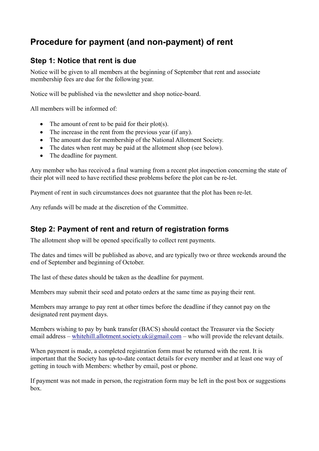# **Procedure for payment (and non-payment) of rent**

## **Step 1: Notice that rent is due**

Notice will be given to all members at the beginning of September that rent and associate membership fees are due for the following year.

Notice will be published via the newsletter and shop notice-board.

All members will be informed of:

- The amount of rent to be paid for their plot(s).
- The increase in the rent from the previous year (if any).
- The amount due for membership of the National Allotment Society.
- The dates when rent may be paid at the allotment shop (see below).
- The deadline for payment.

Any member who has received a final warning from a recent plot inspection concerning the state of their plot will need to have rectified these problems before the plot can be re-let.

Payment of rent in such circumstances does not guarantee that the plot has been re-let.

Any refunds will be made at the discretion of the Committee.

## **Step 2: Payment of rent and return of registration forms**

The allotment shop will be opened specifically to collect rent payments.

The dates and times will be published as above, and are typically two or three weekends around the end of September and beginning of October.

The last of these dates should be taken as the deadline for payment.

Members may submit their seed and potato orders at the same time as paying their rent.

Members may arrange to pay rent at other times before the deadline if they cannot pay on the designated rent payment days.

Members wishing to pay by bank transfer (BACS) should contact the Treasurer via the Society email address – whitehill.allotment.society.uk@gmail.com – who will provide the relevant details.

When payment is made, a completed registration form must be returned with the rent. It is important that the Society has up-to-date contact details for every member and at least one way of getting in touch with Members: whether by email, post or phone.

If payment was not made in person, the registration form may be left in the post box or suggestions box.